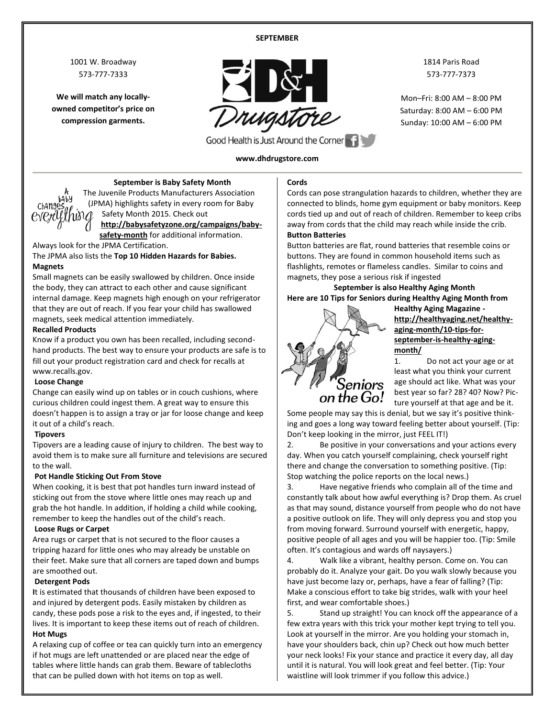#### **SEPTEMBER**

1001 W. Broadway 573-777-7333

**We will match any locallyowned competitor's price on compression garments.**



1814 Paris Road 573-777-7373

Mon–Fri: 8:00 AM – 8:00 PM Saturday: 8:00 AM – 6:00 PM Sunday: 10:00 AM – 6:00 PM

Good Health is Just Around the Corner

#### **www.dhdrugstore.com**



**September is Baby Safety Month** The Juvenile Products Manufacturers Association (JPMA) highlights safety in every room for Baby Safety Month 2015. Check out **[http://babysafetyzone.org/campaigns/baby-](http://babysafetyzone.org/campaigns/baby-safety-month)**

**[safety-month](http://babysafetyzone.org/campaigns/baby-safety-month)** for additional information. Always look for the JPMA Certification.

The JPMA also lists the **Top 10 Hidden Hazards for Babies. Magnets**

Small magnets can be easily swallowed by children. Once inside the body, they can attract to each other and cause significant internal damage. Keep magnets high enough on your refrigerator that they are out of reach. If you fear your child has swallowed magnets, seek medical attention immediately.

#### **Recalled Products**

Know if a product you own has been recalled, including secondhand products. The best way to ensure your products are safe is to fill out your product registration card and check for recalls at www.recalls.gov.

#### **Loose Change**

Change can easily wind up on tables or in couch cushions, where curious children could ingest them. A great way to ensure this doesn't happen is to assign a tray or jar for loose change and keep it out of a child's reach.

#### **Tipovers**

Tipovers are a leading cause of injury to children. The best way to avoid them is to make sure all furniture and televisions are secured to the wall.

#### **Pot Handle Sticking Out From Stove**

When cooking, it is best that pot handles turn inward instead of sticking out from the stove where little ones may reach up and grab the hot handle. In addition, if holding a child while cooking, remember to keep the handles out of the child's reach.

#### **Loose Rugs or Carpet**

Area rugs or carpet that is not secured to the floor causes a tripping hazard for little ones who may already be unstable on their feet. Make sure that all corners are taped down and bumps are smoothed out.

#### **Detergent Pods**

**I**t is estimated that thousands of children have been exposed to and injured by detergent pods. Easily mistaken by children as candy, these pods pose a risk to the eyes and, if ingested, to their lives. It is important to keep these items out of reach of children.

#### **Hot Mugs**

A relaxing cup of coffee or tea can quickly turn into an emergency if hot mugs are left unattended or are placed near the edge of tables where little hands can grab them. Beware of tablecloths that can be pulled down with hot items on top as well.

#### **Cords**

Cords can pose strangulation hazards to children, whether they are connected to blinds, home gym equipment or baby monitors. Keep cords tied up and out of reach of children. Remember to keep cribs away from cords that the child may reach while inside the crib. **Button Batteries**

Button batteries are flat, round batteries that resemble coins or buttons. They are found in common household items such as flashlights, remotes or flameless candles. Similar to coins and magnets, they pose a serious risk if ingested

**September is also Healthy Aging Month Here are 10 Tips for Seniors during Healthy Aging Month from** 



**Healthy Aging Magazine [http://healthyaging.net/healthy](http://healthyaging.net/healthy-aging-month/10-tips-for-september-is-healthy-aging-month/)[aging-month/10-tips-for](http://healthyaging.net/healthy-aging-month/10-tips-for-september-is-healthy-aging-month/)[september-is-healthy-aging](http://healthyaging.net/healthy-aging-month/10-tips-for-september-is-healthy-aging-month/)[month/](http://healthyaging.net/healthy-aging-month/10-tips-for-september-is-healthy-aging-month/)**

1. Do not act your age or at least what you think your current age should act like. What was your best year so far? 28? 40? Now? Picture yourself at that age and be it.

Some people may say this is denial, but we say it's positive thinking and goes a long way toward feeling better about yourself. (Tip: Don't keep looking in the mirror, just FEEL IT!)

2. Be positive in your conversations and your actions every day. When you catch yourself complaining, check yourself right there and change the conversation to something positive. (Tip: Stop watching the police reports on the local news.)

3. Have negative friends who complain all of the time and constantly talk about how awful everything is? Drop them. As cruel as that may sound, distance yourself from people who do not have a positive outlook on life. They will only depress you and stop you from moving forward. Surround yourself with energetic, happy, positive people of all ages and you will be happier too. (Tip: Smile often. It's contagious and wards off naysayers.)

4. Walk like a vibrant, healthy person. Come on. You can probably do it. Analyze your gait. Do you walk slowly because you have just become lazy or, perhaps, have a fear of falling? (Tip: Make a conscious effort to take big strides, walk with your heel first, and wear comfortable shoes.)

5. Stand up straight! You can knock off the appearance of a few extra years with this trick your mother kept trying to tell you. Look at yourself in the mirror. Are you holding your stomach in, have your shoulders back, chin up? Check out how much better your neck looks! Fix your stance and practice it every day, all day until it is natural. You will look great and feel better. (Tip: Your waistline will look trimmer if you follow this advice.)